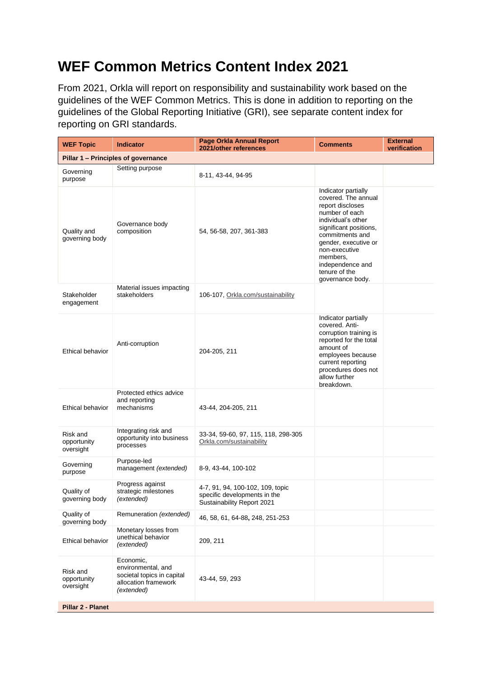## **WEF Common Metrics Content Index 2021**

From 2021, Orkla will report on responsibility and sustainability work based on the guidelines of the WEF Common Metrics. This is done in addition to reporting on the guidelines of the Global Reporting Initiative (GRI), see separate content index for reporting on GRI standards.

| <b>WEF Topic</b>                     | <b>Indicator</b>                                                                                    | <b>Page Orkla Annual Report</b><br>2021/other references                                       | <b>Comments</b>                                                                                                                                                                                                                                                   | <b>External</b><br>verification |  |  |  |
|--------------------------------------|-----------------------------------------------------------------------------------------------------|------------------------------------------------------------------------------------------------|-------------------------------------------------------------------------------------------------------------------------------------------------------------------------------------------------------------------------------------------------------------------|---------------------------------|--|--|--|
| Pillar 1 - Principles of governance  |                                                                                                     |                                                                                                |                                                                                                                                                                                                                                                                   |                                 |  |  |  |
| Governing<br>purpose                 | Setting purpose                                                                                     | 8-11, 43-44, 94-95                                                                             |                                                                                                                                                                                                                                                                   |                                 |  |  |  |
| Quality and<br>governing body        | Governance body<br>composition                                                                      | 54, 56-58, 207, 361-383                                                                        | Indicator partially<br>covered. The annual<br>report discloses<br>number of each<br>individual's other<br>significant positions,<br>commitments and<br>gender, executive or<br>non-executive<br>members,<br>independence and<br>tenure of the<br>governance body. |                                 |  |  |  |
| Stakeholder<br>engagement            | Material issues impacting<br>stakeholders                                                           | 106-107, Orkla.com/sustainability                                                              |                                                                                                                                                                                                                                                                   |                                 |  |  |  |
| Ethical behavior                     | Anti-corruption                                                                                     | 204-205, 211                                                                                   | Indicator partially<br>covered. Anti-<br>corruption training is<br>reported for the total<br>amount of<br>employees because<br>current reporting<br>procedures does not<br>allow further<br>breakdown.                                                            |                                 |  |  |  |
| Ethical behavior                     | Protected ethics advice<br>and reporting<br>mechanisms                                              | 43-44, 204-205, 211                                                                            |                                                                                                                                                                                                                                                                   |                                 |  |  |  |
| Risk and<br>opportunity<br>oversight | Integrating risk and<br>opportunity into business<br>processes                                      | 33-34, 59-60, 97, 115, 118, 298-305<br>Orkla.com/sustainability                                |                                                                                                                                                                                                                                                                   |                                 |  |  |  |
| Governing<br>purpose                 | Purpose-led<br>management (extended)                                                                | 8-9, 43-44, 100-102                                                                            |                                                                                                                                                                                                                                                                   |                                 |  |  |  |
| Quality of<br>governing body         | Progress against<br>strategic milestones<br>(extended)                                              | 4-7, 91, 94, 100-102, 109, topic<br>specific developments in the<br>Sustainability Report 2021 |                                                                                                                                                                                                                                                                   |                                 |  |  |  |
| Quality of<br>governing body         | Remuneration (extended)                                                                             | 46, 58, 61, 64-88, 248, 251-253                                                                |                                                                                                                                                                                                                                                                   |                                 |  |  |  |
| Ethical behavior                     | Monetary losses from<br>unethical behavior<br>(extended)                                            | 209, 211                                                                                       |                                                                                                                                                                                                                                                                   |                                 |  |  |  |
| Risk and<br>opportunity<br>oversight | Economic,<br>environmental, and<br>societal topics in capital<br>allocation framework<br>(extended) | 43-44, 59, 293                                                                                 |                                                                                                                                                                                                                                                                   |                                 |  |  |  |
| Pillar 2 - Planet                    |                                                                                                     |                                                                                                |                                                                                                                                                                                                                                                                   |                                 |  |  |  |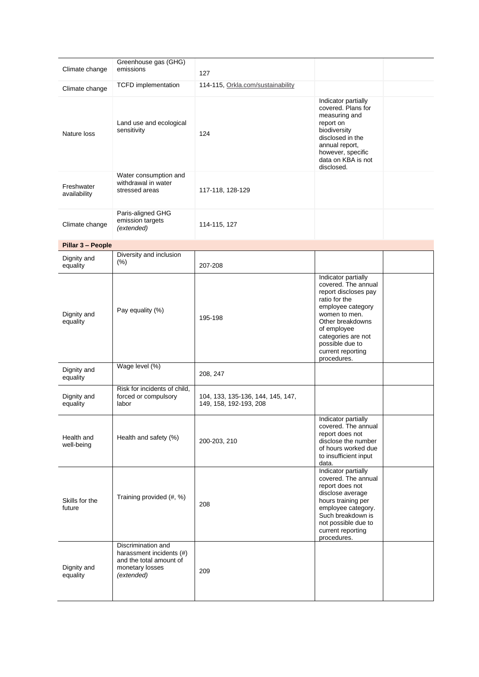|                            | Greenhouse gas (GHG)                                                                                       |                                                             |                                                                                                                                                                                                                                           |
|----------------------------|------------------------------------------------------------------------------------------------------------|-------------------------------------------------------------|-------------------------------------------------------------------------------------------------------------------------------------------------------------------------------------------------------------------------------------------|
| Climate change             | emissions                                                                                                  | 127                                                         |                                                                                                                                                                                                                                           |
| Climate change             | <b>TCFD</b> implementation                                                                                 | 114-115, Orkla.com/sustainability                           |                                                                                                                                                                                                                                           |
| Nature loss                | Land use and ecological<br>sensitivity                                                                     | 124                                                         | Indicator partially<br>covered. Plans for<br>measuring and<br>report on<br>biodiversity<br>disclosed in the<br>annual report,<br>however, specific<br>data on KBA is not<br>disclosed.                                                    |
| Freshwater<br>availability | Water consumption and<br>withdrawal in water<br>stressed areas                                             | 117-118, 128-129                                            |                                                                                                                                                                                                                                           |
| Climate change             | Paris-aligned GHG<br>emission targets<br>(extended)                                                        | 114-115, 127                                                |                                                                                                                                                                                                                                           |
| Pillar 3 - People          |                                                                                                            |                                                             |                                                                                                                                                                                                                                           |
| Dignity and<br>equality    | Diversity and inclusion<br>$(\% )$                                                                         | 207-208                                                     |                                                                                                                                                                                                                                           |
| Dignity and<br>equality    | Pay equality (%)                                                                                           | 195-198                                                     | Indicator partially<br>covered. The annual<br>report discloses pay<br>ratio for the<br>employee category<br>women to men.<br>Other breakdowns<br>of employee<br>categories are not<br>possible due to<br>current reporting<br>procedures. |
| Dignity and<br>equality    | Wage level (%)                                                                                             | 208, 247                                                    |                                                                                                                                                                                                                                           |
| Dignity and<br>equality    | Risk for incidents of child,<br>forced or compulsory<br>labor                                              | 104, 133, 135-136, 144, 145, 147,<br>149, 158, 192-193, 208 |                                                                                                                                                                                                                                           |
| Health and<br>well-being   | Health and safety (%)                                                                                      | 200-203, 210                                                | Indicator partially<br>covered. The annual<br>report does not<br>disclose the number<br>of hours worked due<br>to insufficient input<br>data.                                                                                             |
| Skills for the<br>future   | Training provided (#, %)                                                                                   | 208                                                         | Indicator partially<br>covered. The annual<br>report does not<br>disclose average<br>hours training per<br>employee category.<br>Such breakdown is<br>not possible due to<br>current reporting<br>procedures.                             |
| Dignity and<br>equality    | Discrimination and<br>harassment incidents (#)<br>and the total amount of<br>monetary losses<br>(extended) | 209                                                         |                                                                                                                                                                                                                                           |